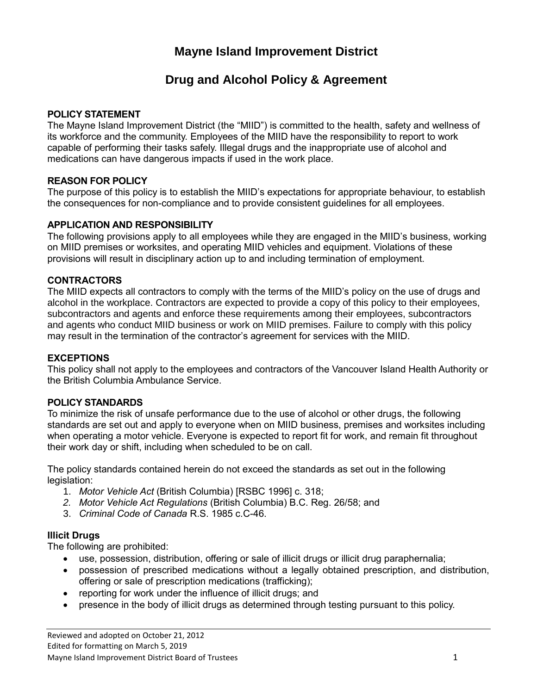# **Mayne Island Improvement District**

# **Drug and Alcohol Policy & Agreement**

## **POLICY STATEMENT**

The Mayne Island Improvement District (the "MIID") is committed to the health, safety and wellness of its workforce and the community. Employees of the MIID have the responsibility to report to work capable of performing their tasks safely. Illegal drugs and the inappropriate use of alcohol and medications can have dangerous impacts if used in the work place.

## **REASON FOR POLICY**

The purpose of this policy is to establish the MIID's expectations for appropriate behaviour, to establish the consequences for non-compliance and to provide consistent guidelines for all employees.

## **APPLICATION AND RESPONSIBILITY**

The following provisions apply to all employees while they are engaged in the MIID's business, working on MIID premises or worksites, and operating MIID vehicles and equipment. Violations of these provisions will result in disciplinary action up to and including termination of employment.

## **CONTRACTORS**

The MIID expects all contractors to comply with the terms of the MIID's policy on the use of drugs and alcohol in the workplace. Contractors are expected to provide a copy of this policy to their employees, subcontractors and agents and enforce these requirements among their employees, subcontractors and agents who conduct MIID business or work on MIID premises. Failure to comply with this policy may result in the termination of the contractor's agreement for services with the MIID.

#### **EXCEPTIONS**

This policy shall not apply to the employees and contractors of the Vancouver Island Health Authority or the British Columbia Ambulance Service.

#### **POLICY STANDARDS**

To minimize the risk of unsafe performance due to the use of alcohol or other drugs, the following standards are set out and apply to everyone when on MIID business, premises and worksites including when operating a motor vehicle. Everyone is expected to report fit for work, and remain fit throughout their work day or shift, including when scheduled to be on call.

The policy standards contained herein do not exceed the standards as set out in the following legislation:

- 1. *Motor Vehicle Act* (British Columbia) [RSBC 1996] c. 318;
- *2. Motor Vehicle Act Regulations* (British Columbia) B.C. Reg. 26/58; and
- 3. *Criminal Code of Canada* R.S. 1985 c.C-46.

#### **Illicit Drugs**

The following are prohibited:

- use, possession, distribution, offering or sale of illicit drugs or illicit drug paraphernalia;
- possession of prescribed medications without a legally obtained prescription, and distribution, offering or sale of prescription medications (trafficking);
- reporting for work under the influence of illicit drugs; and
- presence in the body of illicit drugs as determined through testing pursuant to this policy.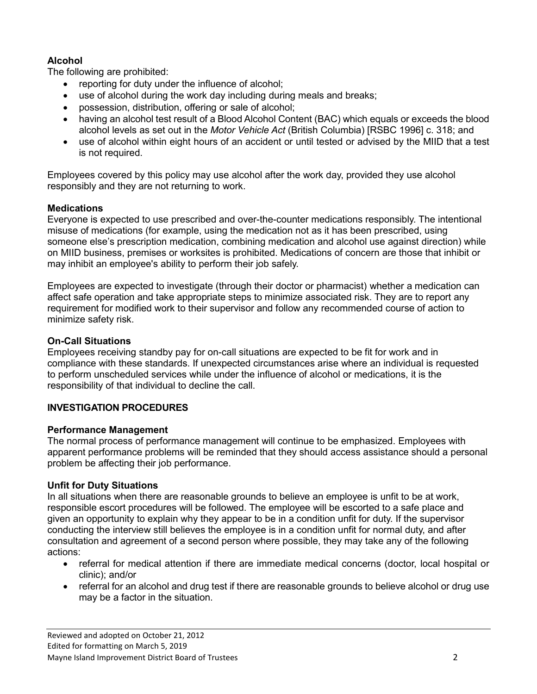# **Alcohol**

The following are prohibited:

- reporting for duty under the influence of alcohol;
- use of alcohol during the work day including during meals and breaks;
- possession, distribution, offering or sale of alcohol;
- having an alcohol test result of a Blood Alcohol Content (BAC) which equals or exceeds the blood alcohol levels as set out in the *Motor Vehicle Act* (British Columbia) [RSBC 1996] c. 318; and
- use of alcohol within eight hours of an accident or until tested or advised by the MIID that a test is not required.

Employees covered by this policy may use alcohol after the work day, provided they use alcohol responsibly and they are not returning to work.

# **Medications**

Everyone is expected to use prescribed and over-the-counter medications responsibly. The intentional misuse of medications (for example, using the medication not as it has been prescribed, using someone else's prescription medication, combining medication and alcohol use against direction) while on MIID business, premises or worksites is prohibited. Medications of concern are those that inhibit or may inhibit an employee's ability to perform their job safely.

Employees are expected to investigate (through their doctor or pharmacist) whether a medication can affect safe operation and take appropriate steps to minimize associated risk. They are to report any requirement for modified work to their supervisor and follow any recommended course of action to minimize safety risk.

# **On-Call Situations**

Employees receiving standby pay for on-call situations are expected to be fit for work and in compliance with these standards. If unexpected circumstances arise where an individual is requested to perform unscheduled services while under the influence of alcohol or medications, it is the responsibility of that individual to decline the call.

## **INVESTIGATION PROCEDURES**

## **Performance Management**

The normal process of performance management will continue to be emphasized. Employees with apparent performance problems will be reminded that they should access assistance should a personal problem be affecting their job performance.

## **Unfit for Duty Situations**

In all situations when there are reasonable grounds to believe an employee is unfit to be at work, responsible escort procedures will be followed. The employee will be escorted to a safe place and given an opportunity to explain why they appear to be in a condition unfit for duty. If the supervisor conducting the interview still believes the employee is in a condition unfit for normal duty, and after consultation and agreement of a second person where possible, they may take any of the following actions:

- referral for medical attention if there are immediate medical concerns (doctor, local hospital or clinic); and/or
- referral for an alcohol and drug test if there are reasonable grounds to believe alcohol or drug use may be a factor in the situation.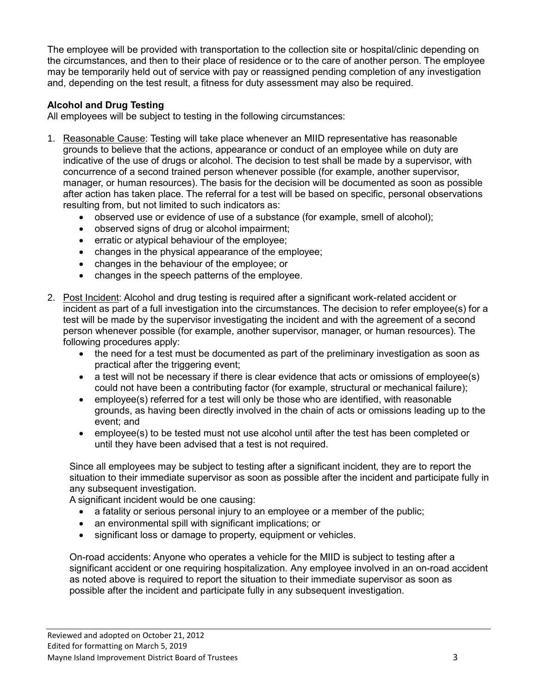The employee will be provided with transportation to the collection site or hospital/clinic depending on the circumstances, and then to their place of residence or to the care of another person. The employee may be temporarily held out of service with pay or reassigned pending completion of any investigation and, depending on the test result, a fitness for duty assessment may also be required.

## **Alcohol and Drug Testing**

All employees will be subject to testing in the following circumstances:

- 1. Reasonable Cause: Testing will take place whenever an MIID representative has reasonable grounds to believe that the actions, appearance or conduct of an employee while on duty are indicative of the use of drugs or alcohol. The decision to test shall be made by a supervisor, with concurrence of a second trained person whenever possible (for example, another supervisor, manager, or human resources). The basis for the decision will be documented as soon as possible after action has taken place. The referral for a test will be based on specific, personal observations resulting from, but not limited to such indicators as:
	- observed use or evidence of use of a substance (for example, smell of alcohol);
	- observed signs of drug or alcohol impairment;
	- erratic or atypical behaviour of the employee;
	- changes in the physical appearance of the employee;
	- changes in the behaviour of the employee; or
	- changes in the speech patterns of the employee.
- 2. Post Incident: Alcohol and drug testing is required after a significant work-related accident or incident as part of a full investigation into the circumstances. The decision to refer employee(s) for a test will be made by the supervisor investigating the incident and with the agreement of a second person whenever possible (for example, another supervisor, manager, or human resources). The following procedures apply:
	- the need for a test must be documented as part of the preliminary investigation as soon as practical after the triggering event;
	- a test will not be necessary if there is clear evidence that acts or omissions of employee(s) could not have been a contributing factor (for example, structural or mechanical failure);
	- employee(s) referred for a test will only be those who are identified, with reasonable grounds, as having been directly involved in the chain of acts or omissions leading up to the event; and
	- employee(s) to be tested must not use alcohol until after the test has been completed or until they have been advised that a test is not required.

Since all employees may be subject to testing after a significant incident, they are to report the situation to their immediate supervisor as soon as possible after the incident and participate fully in any subsequent investigation.

A significant incident would be one causing:

- a fatality or serious personal injury to an employee or a member of the public;
- an environmental spill with significant implications; or
- significant loss or damage to property, equipment or vehicles.

On-road accidents: Anyone who operates a vehicle for the MIID is subject to testing after a significant accident or one requiring hospitalization. Any employee involved in an on-road accident as noted above is required to report the situation to their immediate supervisor as soon as possible after the incident and participate fully in any subsequent investigation.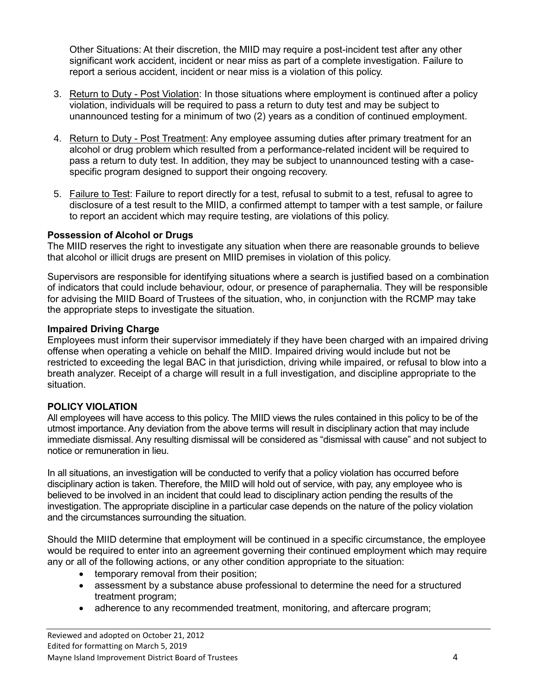Other Situations: At their discretion, the MIID may require a post-incident test after any other significant work accident, incident or near miss as part of a complete investigation. Failure to report a serious accident, incident or near miss is a violation of this policy.

- 3. Return to Duty Post Violation: In those situations where employment is continued after a policy violation, individuals will be required to pass a return to duty test and may be subject to unannounced testing for a minimum of two (2) years as a condition of continued employment.
- 4. Return to Duty Post Treatment: Any employee assuming duties after primary treatment for an alcohol or drug problem which resulted from a performance-related incident will be required to pass a return to duty test. In addition, they may be subject to unannounced testing with a casespecific program designed to support their ongoing recovery.
- 5. Failure to Test: Failure to report directly for a test, refusal to submit to a test, refusal to agree to disclosure of a test result to the MIID, a confirmed attempt to tamper with a test sample, or failure to report an accident which may require testing, are violations of this policy.

## **Possession of Alcohol or Drugs**

The MIID reserves the right to investigate any situation when there are reasonable grounds to believe that alcohol or illicit drugs are present on MIID premises in violation of this policy.

Supervisors are responsible for identifying situations where a search is justified based on a combination of indicators that could include behaviour, odour, or presence of paraphernalia. They will be responsible for advising the MIID Board of Trustees of the situation, who, in conjunction with the RCMP may take the appropriate steps to investigate the situation.

## **Impaired Driving Charge**

Employees must inform their supervisor immediately if they have been charged with an impaired driving offense when operating a vehicle on behalf the MIID. Impaired driving would include but not be restricted to exceeding the legal BAC in that jurisdiction, driving while impaired, or refusal to blow into a breath analyzer. Receipt of a charge will result in a full investigation, and discipline appropriate to the situation.

## **POLICY VIOLATION**

All employees will have access to this policy. The MIID views the rules contained in this policy to be of the utmost importance. Any deviation from the above terms will result in disciplinary action that may include immediate dismissal. Any resulting dismissal will be considered as "dismissal with cause" and not subject to notice or remuneration in lieu.

In all situations, an investigation will be conducted to verify that a policy violation has occurred before disciplinary action is taken. Therefore, the MIID will hold out of service, with pay, any employee who is believed to be involved in an incident that could lead to disciplinary action pending the results of the investigation. The appropriate discipline in a particular case depends on the nature of the policy violation and the circumstances surrounding the situation.

Should the MIID determine that employment will be continued in a specific circumstance, the employee would be required to enter into an agreement governing their continued employment which may require any or all of the following actions, or any other condition appropriate to the situation:

- temporary removal from their position;
- assessment by a substance abuse professional to determine the need for a structured treatment program;
- adherence to any recommended treatment, monitoring, and aftercare program;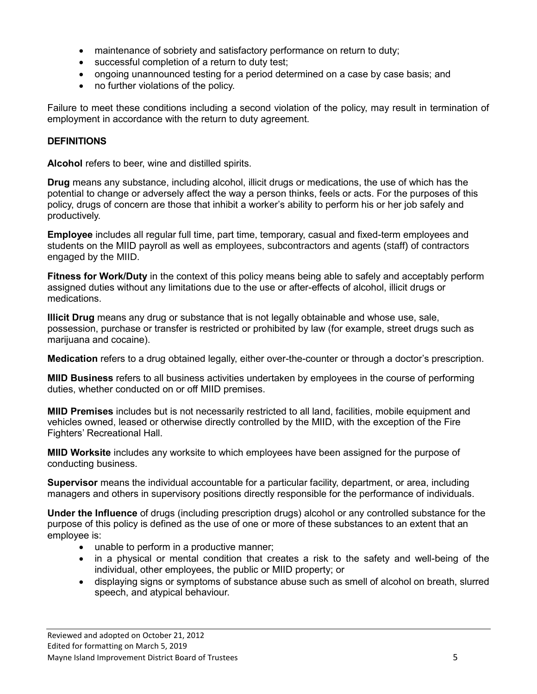- maintenance of sobriety and satisfactory performance on return to duty;
- successful completion of a return to duty test;
- ongoing unannounced testing for a period determined on a case by case basis; and
- no further violations of the policy.

Failure to meet these conditions including a second violation of the policy, may result in termination of employment in accordance with the return to duty agreement.

# **DEFINITIONS**

**Alcohol** refers to beer, wine and distilled spirits.

**Drug** means any substance, including alcohol, illicit drugs or medications, the use of which has the potential to change or adversely affect the way a person thinks, feels or acts. For the purposes of this policy, drugs of concern are those that inhibit a worker's ability to perform his or her job safely and productively.

**Employee** includes all regular full time, part time, temporary, casual and fixed-term employees and students on the MIID payroll as well as employees, subcontractors and agents (staff) of contractors engaged by the MIID.

**Fitness for Work/Duty** in the context of this policy means being able to safely and acceptably perform assigned duties without any limitations due to the use or after-effects of alcohol, illicit drugs or medications.

**Illicit Drug** means any drug or substance that is not legally obtainable and whose use, sale, possession, purchase or transfer is restricted or prohibited by law (for example, street drugs such as marijuana and cocaine).

**Medication** refers to a drug obtained legally, either over-the-counter or through a doctor's prescription.

**MIID Business** refers to all business activities undertaken by employees in the course of performing duties, whether conducted on or off MIID premises.

**MIID Premises** includes but is not necessarily restricted to all land, facilities, mobile equipment and vehicles owned, leased or otherwise directly controlled by the MIID, with the exception of the Fire Fighters' Recreational Hall.

**MIID Worksite** includes any worksite to which employees have been assigned for the purpose of conducting business.

**Supervisor** means the individual accountable for a particular facility, department, or area, including managers and others in supervisory positions directly responsible for the performance of individuals.

**Under the Influence** of drugs (including prescription drugs) alcohol or any controlled substance for the purpose of this policy is defined as the use of one or more of these substances to an extent that an employee is:

- unable to perform in a productive manner;
- in a physical or mental condition that creates a risk to the safety and well-being of the individual, other employees, the public or MIID property; or
- displaying signs or symptoms of substance abuse such as smell of alcohol on breath, slurred speech, and atypical behaviour.